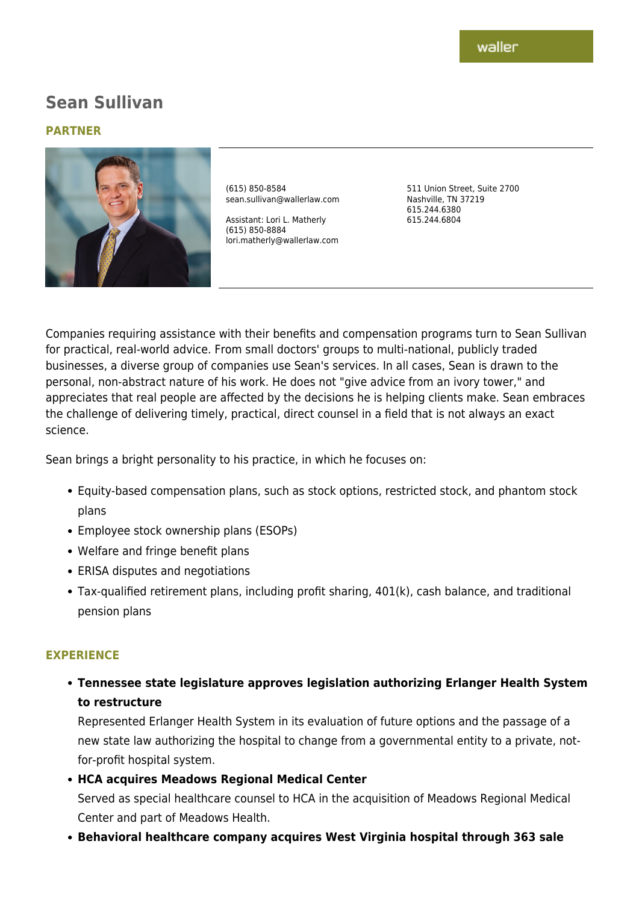# **Sean Sullivan**

#### **PARTNER**



(615) 850-8584 sean.sullivan@wallerlaw.com

Assistant: Lori L. Matherly (615) 850-8884 lori.matherly@wallerlaw.com 511 Union Street, Suite 2700 Nashville, TN 37219 615.244.6380 615.244.6804

Companies requiring assistance with their benefits and compensation programs turn to Sean Sullivan for practical, real-world advice. From small doctors' groups to multi-national, publicly traded businesses, a diverse group of companies use Sean's services. In all cases, Sean is drawn to the personal, non-abstract nature of his work. He does not "give advice from an ivory tower," and appreciates that real people are affected by the decisions he is helping clients make. Sean embraces the challenge of delivering timely, practical, direct counsel in a field that is not always an exact science.

Sean brings a bright personality to his practice, in which he focuses on:

- Equity-based compensation plans, such as stock options, restricted stock, and phantom stock plans
- Employee stock ownership plans (ESOPs)
- Welfare and fringe benefit plans
- ERISA disputes and negotiations
- Tax-qualified retirement plans, including profit sharing, 401(k), cash balance, and traditional pension plans

## **EXPERIENCE**

**Tennessee state legislature approves legislation authorizing Erlanger Health System to restructure**

Represented Erlanger Health System in its evaluation of future options and the passage of a new state law authorizing the hospital to change from a governmental entity to a private, notfor-profit hospital system.

**HCA acquires Meadows Regional Medical Center**

Served as special healthcare counsel to HCA in the acquisition of Meadows Regional Medical Center and part of Meadows Health.

**Behavioral healthcare company acquires West Virginia hospital through 363 sale**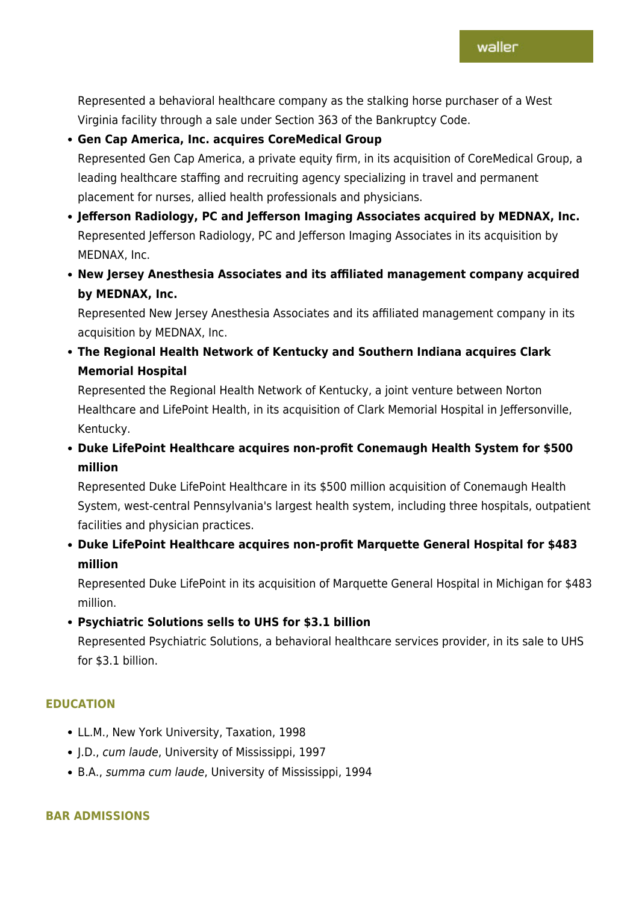Represented a behavioral healthcare company as the stalking horse purchaser of a West Virginia facility through a sale under Section 363 of the Bankruptcy Code.

## **Gen Cap America, Inc. acquires CoreMedical Group**

Represented Gen Cap America, a private equity firm, in its acquisition of CoreMedical Group, a leading healthcare staffing and recruiting agency specializing in travel and permanent placement for nurses, allied health professionals and physicians.

- **Jefferson Radiology, PC and Jefferson Imaging Associates acquired by MEDNAX, Inc.** Represented Jefferson Radiology, PC and Jefferson Imaging Associates in its acquisition by MEDNAX, Inc.
- **New Jersey Anesthesia Associates and its affiliated management company acquired by MEDNAX, Inc.**

Represented New Jersey Anesthesia Associates and its affiliated management company in its acquisition by MEDNAX, Inc.

**The Regional Health Network of Kentucky and Southern Indiana acquires Clark Memorial Hospital**

Represented the Regional Health Network of Kentucky, a joint venture between Norton Healthcare and LifePoint Health, in its acquisition of Clark Memorial Hospital in Jeffersonville, Kentucky.

**Duke LifePoint Healthcare acquires non-profit Conemaugh Health System for \$500 million**

Represented Duke LifePoint Healthcare in its \$500 million acquisition of Conemaugh Health System, west-central Pennsylvania's largest health system, including three hospitals, outpatient facilities and physician practices.

**Duke LifePoint Healthcare acquires non-profit Marquette General Hospital for \$483 million**

Represented Duke LifePoint in its acquisition of Marquette General Hospital in Michigan for \$483 million.

**Psychiatric Solutions sells to UHS for \$3.1 billion**

Represented Psychiatric Solutions, a behavioral healthcare services provider, in its sale to UHS for \$3.1 billion.

## **EDUCATION**

- LL.M., New York University, Taxation, 1998
- J.D., cum laude, University of Mississippi, 1997
- B.A., summa cum laude, University of Mississippi, 1994

## **BAR ADMISSIONS**